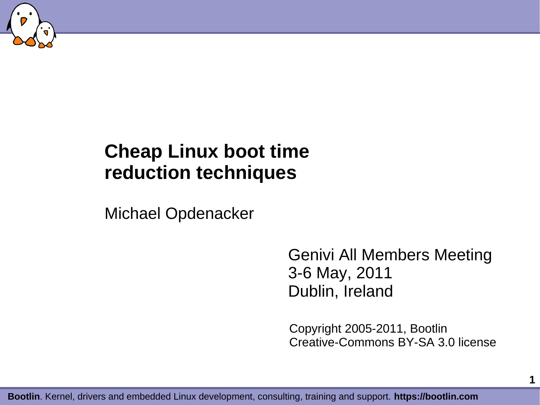

#### **Cheap Linux boot time reduction techniques**

Michael Opdenacker

Genivi All Members Meeting 3-6 May, 2011 Dublin, Ireland

Copyright 2005-2011, Bootlin Creative-Commons BY-SA 3.0 license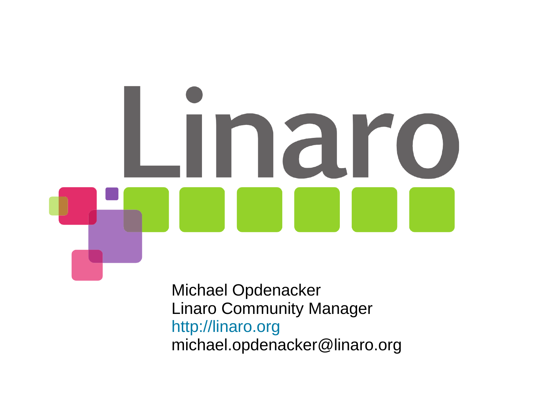# Linaro

Michael Opdenacker Linaro Community Manager [http://linaro.org](http://linaro.org/) michael.opdenacker@linaro.org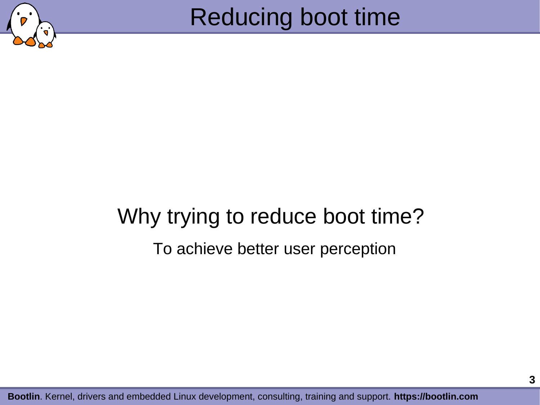

# Why trying to reduce boot time? To achieve better user perception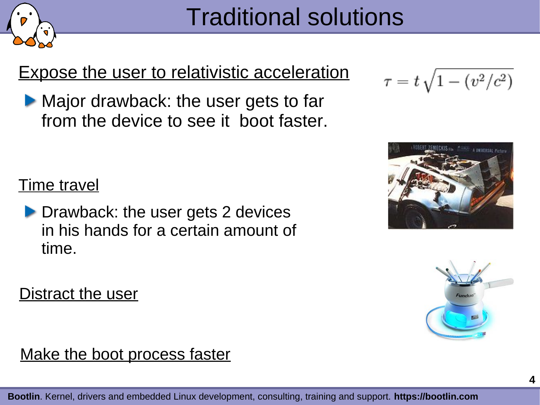

#### Expose the user to relativistic acceleration

Major drawback: the user gets to far from the device to see it boot faster.

**Time travel** 

**Drawback: the user gets 2 devices** in his hands for a certain amount of time.







Distract the user

#### Make the boot process faster

**Bootlin**. Kernel, drivers and embedded Linux development, consulting, training and support. **https://bootlin.com**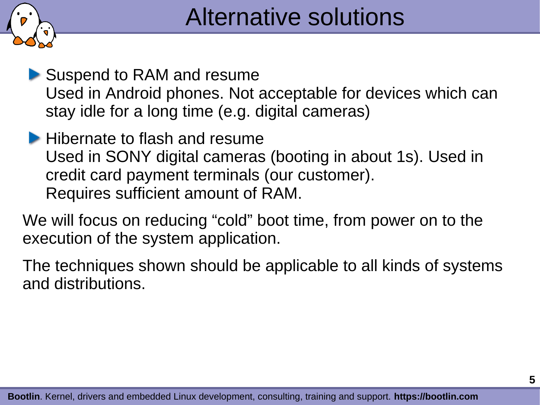

Suspend to RAM and resume Used in Android phones. Not acceptable for devices which can stay idle for a long time (e.g. digital cameras)

**Hibernate to flash and resume** Used in SONY digital cameras (booting in about 1s). Used in credit card payment terminals (our customer). Requires sufficient amount of RAM.

We will focus on reducing "cold" boot time, from power on to the execution of the system application.

The techniques shown should be applicable to all kinds of systems and distributions.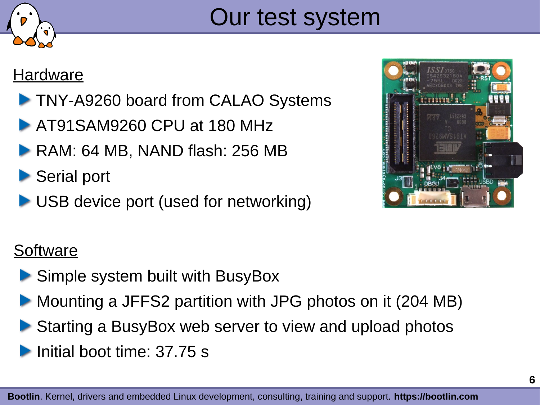

# Our test system

#### **Hardware**

- **TNY-A9260 board from CALAO Systems**
- **AT91SAM9260 CPU at 180 MHz**
- RAM: 64 MB, NAND flash: 256 MB
- Serial port
- ▶ USB device port (used for networking)



#### **Software**

- ▶ Simple system built with BusyBox
- Mounting a JFFS2 partition with JPG photos on it (204 MB)
- Starting a BusyBox web server to view and upload photos
- Initial boot time: 37.75 s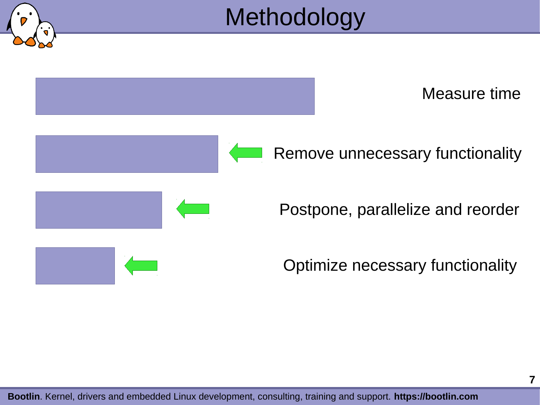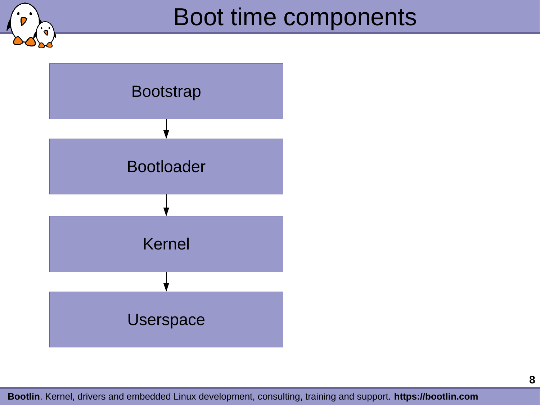



**Bootlin**. Kernel, drivers and embedded Linux development, consulting, training and support. **https://bootlin.com**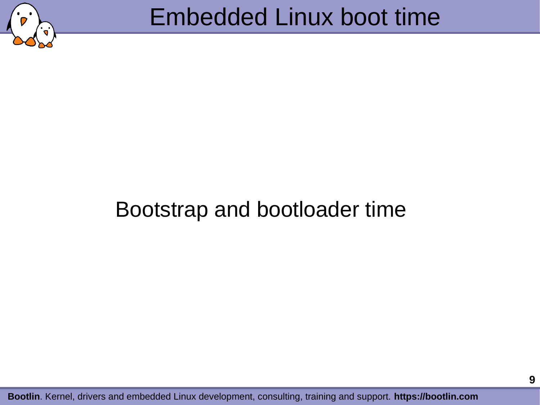

## Bootstrap and bootloader time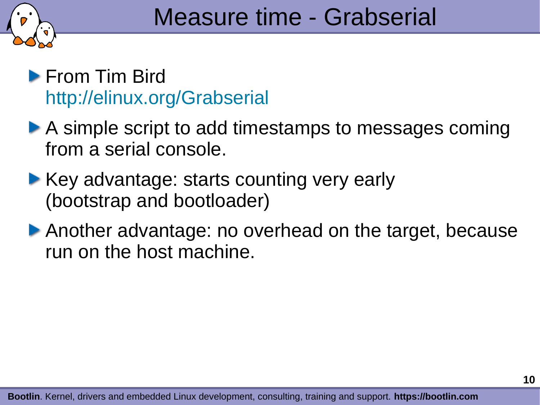

#### **From Tim Bird** <http://elinux.org/Grabserial>

- A simple script to add timestamps to messages coming from a serial console.
- ▶ Key advantage: starts counting very early (bootstrap and bootloader)
- Another advantage: no overhead on the target, because run on the host machine.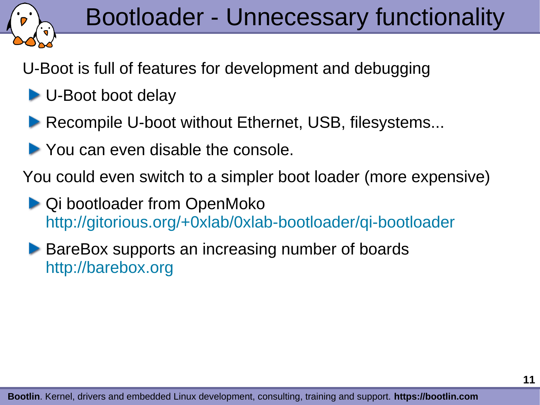

U-Boot is full of features for development and debugging

- ▶ U-Boot boot delay
- **Recompile U-boot without Ethernet, USB, filesystems...**
- **You can even disable the console.**

You could even switch to a simpler boot loader (more expensive)

- ▶ Qi bootloader from OpenMoko <http://gitorious.org/+0xlab/0xlab-bootloader/qi-bootloader>
- **BareBox supports an increasing number of boards** [http://barebox.org](http://barebox.org/)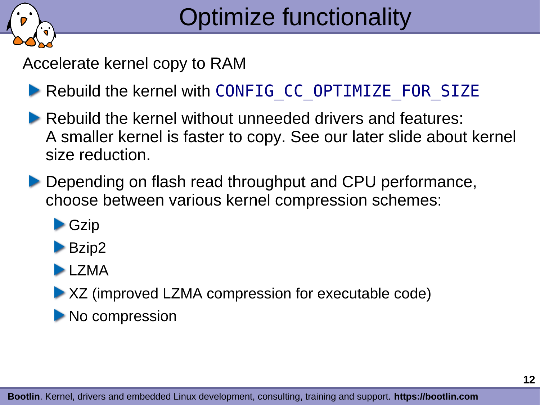

Accelerate kernel copy to RAM

- Rebuild the kernel with CONFIG CC\_OPTIMIZE\_FOR\_SIZE
- Rebuild the kernel without unneeded drivers and features: A smaller kernel is faster to copy. See our later slide about kernel size reduction.
- Depending on flash read throughput and CPU performance, choose between various kernel compression schemes:
	- **Czip**
	- **Bzip2**
	- **LZMA**
	- ▶ XZ (improved LZMA compression for executable code)
	- No compression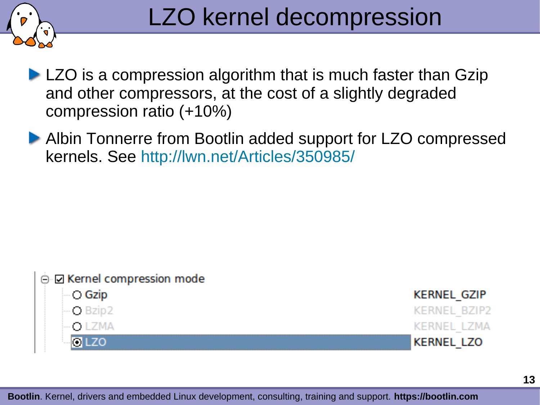

- **LZO** is a compression algorithm that is much faster than Gzip and other compressors, at the cost of a slightly degraded compression ratio (+10%)
- ▶ Albin Tonnerre from Bootlin added support for LZO compressed kernels. See <http://lwn.net/Articles/350985/>

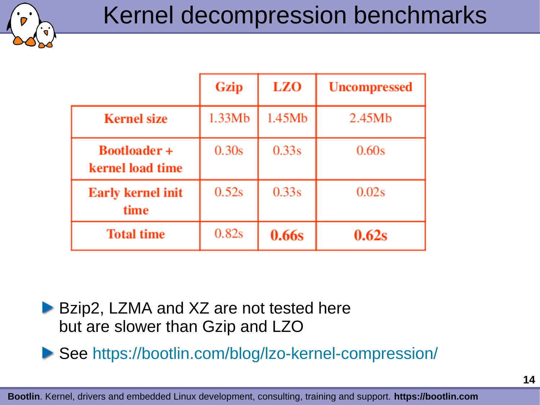

|                                         | Gzip   | <b>LZO</b> | <b>Uncompressed</b> |
|-----------------------------------------|--------|------------|---------------------|
| <b>Kernel size</b>                      | 1.33Mb | 1.45Mb     | 2.45Mb              |
| <b>Bootloader +</b><br>kernel load time | 0.30s  | 0.33s      | 0.60 <sub>s</sub>   |
| <b>Early kernel init</b><br>time        | 0.52s  | 0.33s      | 0.02s               |
| <b>Total time</b>                       | 0.82s  | 0.66s      | 0.62s               |

▶ Bzip2, LZMA and XZ are not tested here but are slower than Gzip and LZO

▶ See <https://bootlin.com/blog/lzo-kernel-compression/>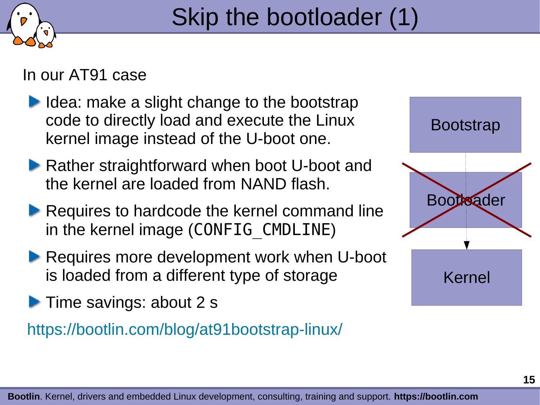

In our AT91 case

- $\blacktriangleright$  Idea: make a slight change to the bootstrap code to directly load and execute the Linux kernel image instead of the U-boot one.
- **Rather straightforward when boot U-boot and** the kernel are loaded from NAND flash.
- **Requires to hardcode the kernel command line** in the kernel image (CONFIG CMDLINE)
- Requires more development work when U-boot is loaded from a different type of storage
- **Time savings: about 2 s**

<https://bootlin.com/blog/at91bootstrap-linux/>

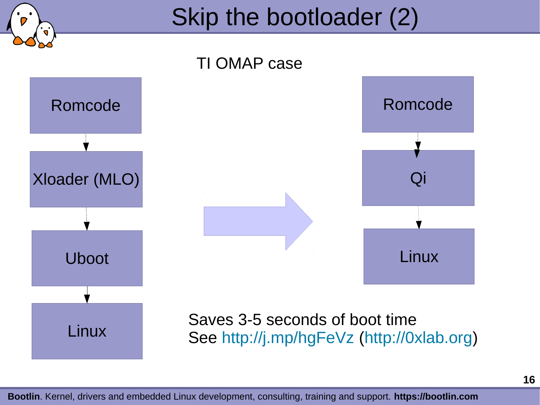

# Skip the bootloader (2)



**Bootlin**. Kernel, drivers and embedded Linux development, consulting, training and support. **https://bootlin.com**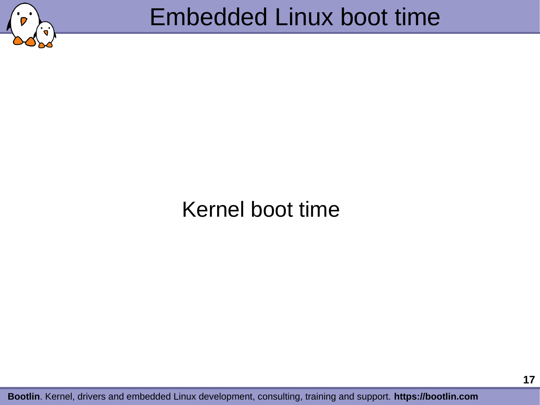

# Embedded Linux boot time

# Kernel boot time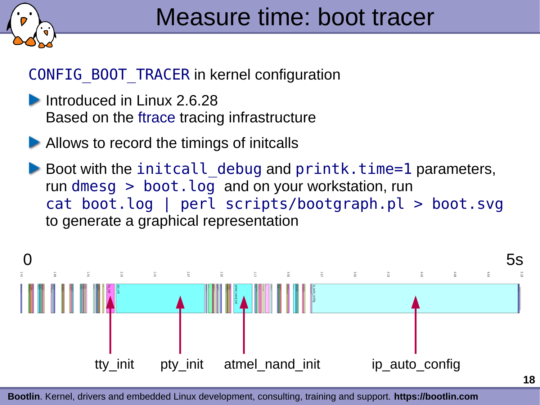

#### CONFIG\_BOOT\_TRACER in kernel configuration

- Introduced in Linux 2.6.28 Based on the ftrace tracing infrastructure
- Allows to record the timings of initcalls
- Boot with the initcall debug and  $print$ k.time=1 parameters, run dmesq  $>$  boot. log and on your workstation, run cat boot.log | perl scripts/bootgraph.pl > boot.svg to generate a graphical representation

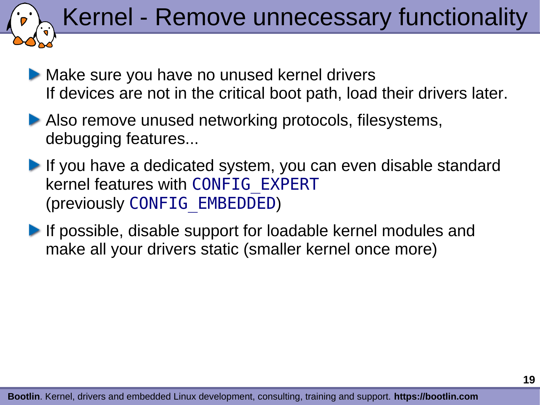Kernel - Remove unnecessary functionality

- Make sure you have no unused kernel drivers If devices are not in the critical boot path, load their drivers later.
- ▶ Also remove unused networking protocols, filesystems, debugging features...
- If you have a dedicated system, you can even disable standard kernel features with CONFIG\_EXPERT (previously CONFIG\_EMBEDDED)
- **If possible, disable support for loadable kernel modules and** make all your drivers static (smaller kernel once more)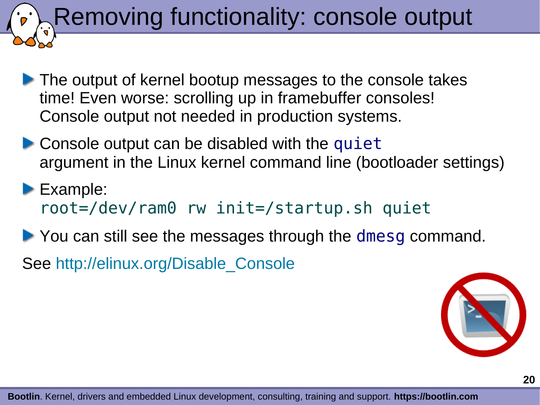Removing functionality: console output

- The output of kernel bootup messages to the console takes time! Even worse: scrolling up in framebuffer consoles! Console output not needed in production systems.
- $\blacktriangleright$  Console output can be disabled with the quiet argument in the Linux kernel command line (bootloader settings)
- Example: root=/dev/ram0 rw init=/startup.sh quiet
- ▶ You can still see the messages through the dmesg command. See [http://elinux.org/Disable\\_Console](http://elinux.org/Disable_Console)



**Bootlin**. Kernel, drivers and embedded Linux development, consulting, training and support. **https://bootlin.com**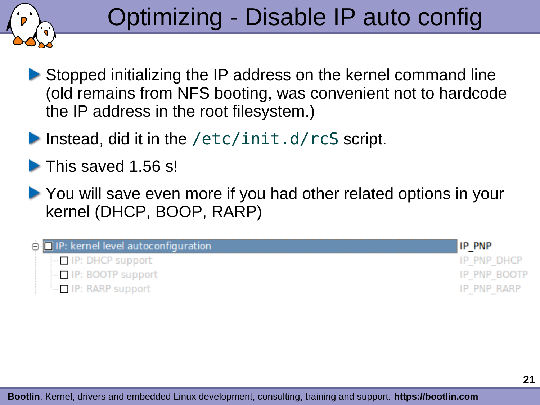

- Stopped initializing the IP address on the kernel command line (old remains from NFS booting, was convenient not to hardcode the IP address in the root filesystem.)
- Instead, did it in the /etc/init.d/rcS script.

This saved 1.56 s!

▶ You will save even more if you had other related options in your kernel (DHCP, BOOP, RARP)

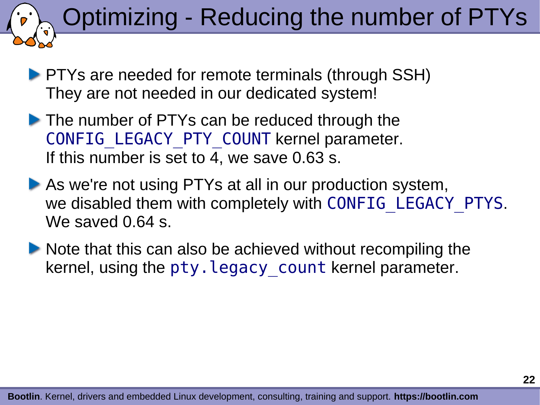# Optimizing - Reducing the number of PTYs

**PTYs are needed for remote terminals (through SSH)** They are not needed in our dedicated system!

- The number of PTYs can be reduced through the CONFIG\_LEGACY\_PTY\_COUNT kernel parameter. If this number is set to 4, we save 0.63 s.
- As we're not using PTYs at all in our production system, we disabled them with completely with CONFIG LEGACY PTYS. We saved 0.64 s.
- $\blacktriangleright$  Note that this can also be achieved without recompiling the kernel, using the pty. legacy count kernel parameter.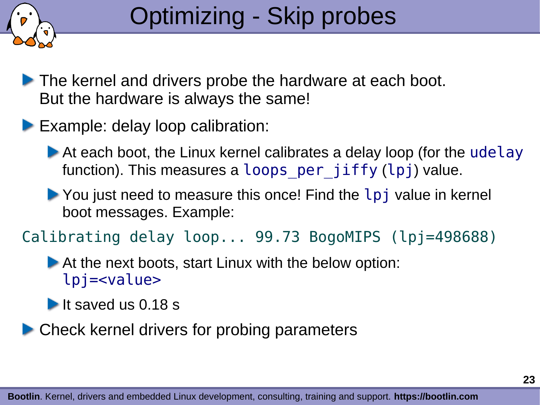

- The kernel and drivers probe the hardware at each boot. But the hardware is always the same!
- **Example: delay loop calibration:** 
	- ▶ At each boot, the Linux kernel calibrates a delay loop (for the udelay function). This measures a loops per jiffy (lpj) value.
	- ▶ You just need to measure this once! Find the lpj value in kernel boot messages. Example:
- Calibrating delay loop... 99.73 BogoMIPS (lpj=498688)

At the next boots, start Linux with the below option: lpj=<value>

It saved us  $0.18$  s

▶ Check kernel drivers for probing parameters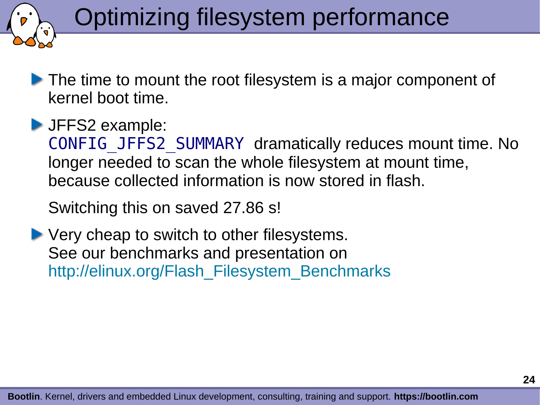# Optimizing filesystem performance

The time to mount the root filesystem is a major component of kernel boot time.

**JFFS2 example:** 

CONFIG\_JFFS2\_SUMMARY dramatically reduces mount time. No longer needed to scan the whole filesystem at mount time, because collected information is now stored in flash.

Switching this on saved 27.86 s!

▶ Very cheap to switch to other filesystems. See our benchmarks and presentation on http://elinux.org/Flash\_Filesystem Benchmarks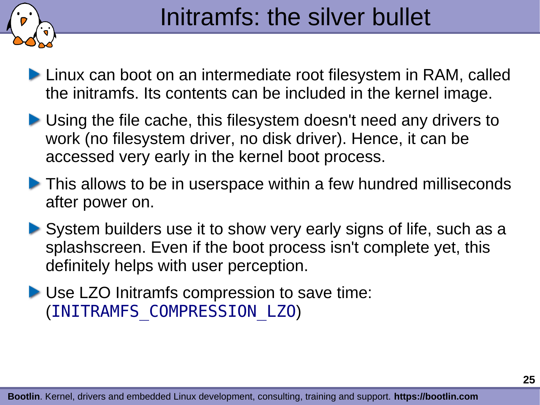

# Initramfs: the silver bullet

- **Linux can boot on an intermediate root filesystem in RAM, called** the initramfs. Its contents can be included in the kernel image.
- ▶ Using the file cache, this filesystem doesn't need any drivers to work (no filesystem driver, no disk driver). Hence, it can be accessed very early in the kernel boot process.
- **This allows to be in userspace within a few hundred milliseconds** after power on.
- System builders use it to show very early signs of life, such as a splashscreen. Even if the boot process isn't complete yet, this definitely helps with user perception.
- Use LZO Initramfs compression to save time: (INITRAMFS\_COMPRESSION\_LZO)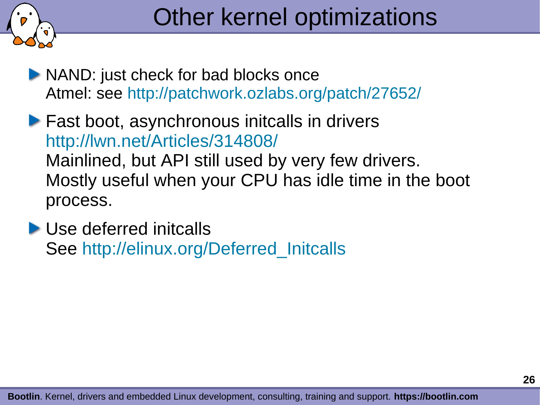

- NAND: just check for bad blocks once Atmel: see <http://patchwork.ozlabs.org/patch/27652/>
- **Fast boot, asynchronous initcalls in drivers** <http://lwn.net/Articles/314808/> Mainlined, but API still used by very few drivers. Mostly useful when your CPU has idle time in the boot process.
- ▶ Use deferred initcalls See http://elinux.org/Deferred Initcalls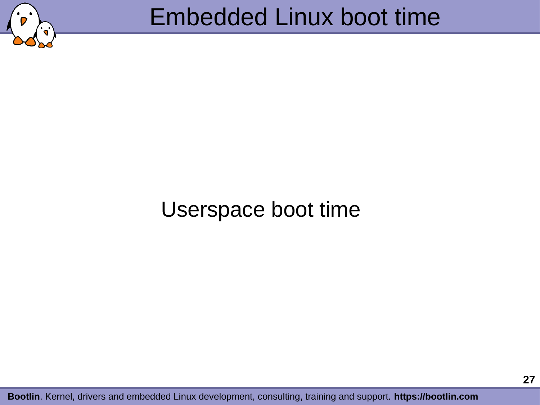

# Embedded Linux boot time

## Userspace boot time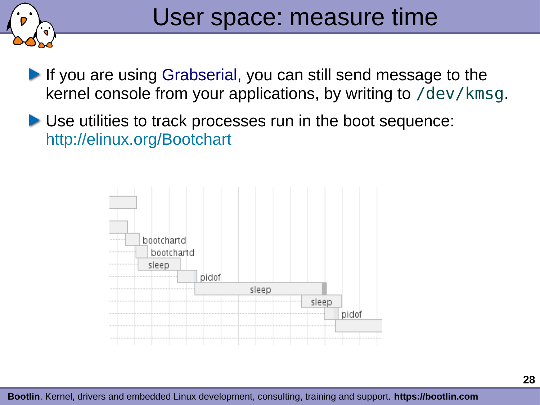

- If you are using Grabserial, you can still send message to the kernel console from your applications, by writing to /dev/kmsg.
- Use utilities to track processes run in the boot sequence: <http://elinux.org/Bootchart>

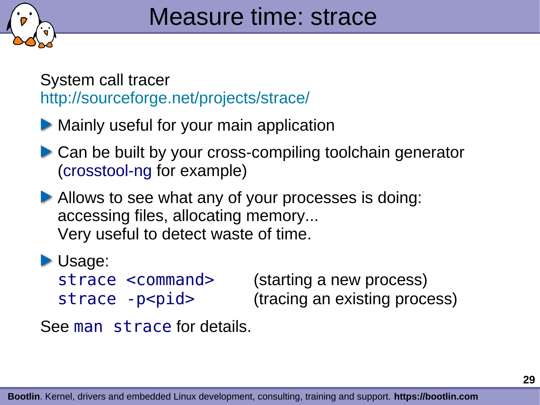

System call tracer <http://sourceforge.net/projects/strace/>

- **Mainly useful for your main application**
- ▶ Can be built by your cross-compiling toolchain generator (crosstool-ng for example)
- Allows to see what any of your processes is doing: accessing files, allocating memory... Very useful to detect waste of time.
- **Usage:** 
	-

strace <command> (starting a new process) strace -p<pid> (tracing an existing process)

See man strace for details.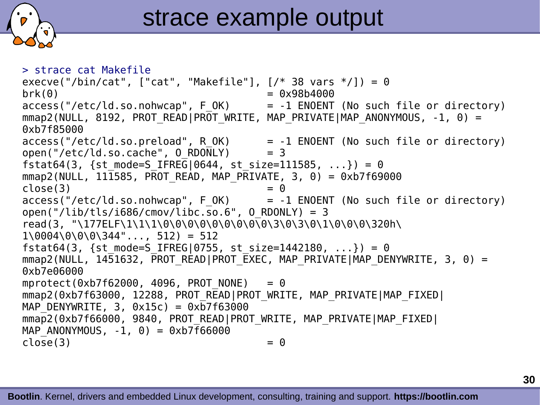

> strace cat Makefile execve("/bin/cat", ["cat", "Makefile"],  $[/* 38 \text{ vars } */$ ]) = 0  $brk(0) = 0x98b4000$  $access("/etc/Id.so.nohwcap", FOK)$  = -1 ENOENT (No such file or directory)  $mmap2(NULL, 8192, PROT" READIPROT" WRITE, MAP" PRIVATEIMAP' ANONYMOUS, -1, 0) =$ 0xb7f85000  $access("/etc/ld-so.preload", R OK)$  = -1 ENOENT (No such file or directory) open("/etc/ld.so.cache",  $0$  RDONLY) = 3 fstat64(3, {st mode=S IFREG|0644, st size=111585, ...}) = 0  $mmap2(NULL, 111585, PROT READ, MAP PRIVATE, 3, 0) = 0xb7f69000$  $close(3)$  = 0  $access("/etc/ld-so.nohwcap", FOK)$  = -1 ENOENT (No such file or directory) open("/lib/tls/i686/cmov/libc.so.6",  $0$  RDONLY) = 3 read(3, "\177ELF\1\1\1\0\0\0\0\0\0\0\0\0\3\0\3\0\1\0\0\0\320h\  $1\0004\00\00344"$ ..., 512) = 512 fstat64(3, {st mode=S IFREG|0755, st size=1442180, ...}) = 0  $mmap2(NULL, 14\overline{5}1632, \overline{P}ROT READ|PROT EXEC, MAP PRIVATE|MAP DENYWRITE, 3, 0) =$ 0xb7e06000 mprotect( $0xb7f62000$ , 4096, PROT NONE) = 0 mmap2(0xb7f63000, 12288, PROT READ|PROT WRITE, MAP PRIVATE|MAP FIXED| MAP DENYWRITE, 3,  $0x15c$  =  $0xb7f63000$ mmap2(0xb7f66000, 9840, PROT READ|PROT WRITE, MAP PRIVATE|MAP FIXED| MAP ANONYMOUS,  $-1, 0$ ) = 0xb7f66000  $close(3)$  = 0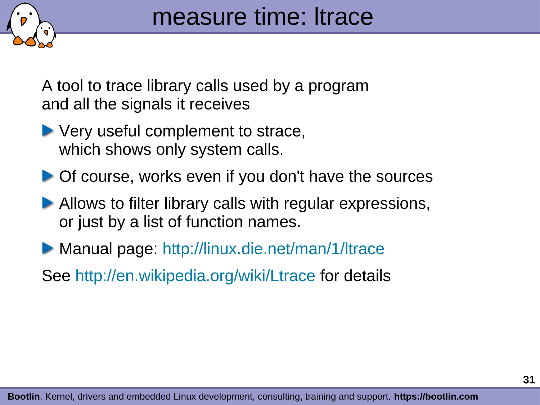

A tool to trace library calls used by a program and all the signals it receives

- ▶ Very useful complement to strace, which shows only system calls.
- ▶ Of course, works even if you don't have the sources
- Allows to filter library calls with regular expressions, or just by a list of function names.
- ▶ Manual page: <http://linux.die.net/man/1/ltrace>
- See <http://en.wikipedia.org/wiki/Ltrace> for details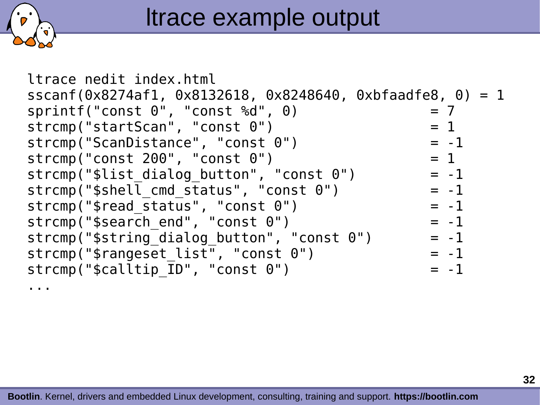

ltrace nedit index.html sscanf(0x8274af1, 0x8132618, 0x8248640, 0xbfaadfe8, 0) = 1  $sprint(f("const 0", "const %d", 0) = 7$  $\text{stromp}("startScan", "const 0")$  = 1  $\text{stromp}("ScanDistance", "const 0") = -1$  $\text{stromp}('const 200", 'const 0") = 1$  $strcmp("$list dialog button", "const 0") = -1$ strcmp("\$shell cmd status", "const  $0"$ ) = -1  $stromp("\$read status", "const 0") = -1$  $stromp("Ssearch end", "const 0")$  = -1 strcmp(" $\frac{1}{2}$ string dialog button", "const  $\theta$ ") = -1  $strcmp("frangeset list", "const 0") = -1$  $\text{stromp}("Scalltip ID", "const 0")$  = -1 ...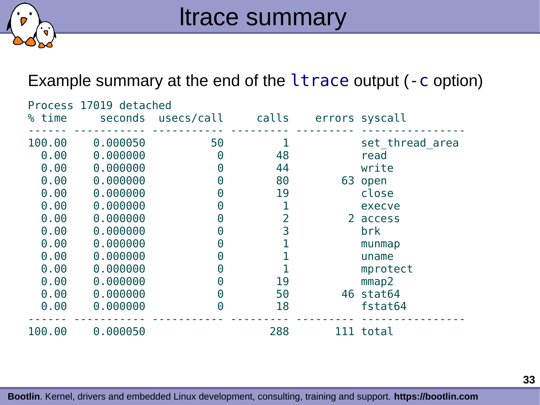

Example summary at the end of the ltrace output (-c option)

| Process 17019 detached |          |                       |       |  |                 |
|------------------------|----------|-----------------------|-------|--|-----------------|
| % time                 |          | seconds usecs/call    | calls |  | errors syscall  |
| 100.00                 | 0.000050 | 50                    |       |  | set thread area |
| 0.00                   | 0.000000 | $\Theta$              | 48    |  | read            |
| 0.00                   | 0.000000 | $\boldsymbol{\Theta}$ | 44    |  | write           |
| 0.00                   | 0.000000 | $\Theta$              | 80    |  | 63 open         |
| 0.00                   | 0.000000 | $\Theta$              | 19    |  | close           |
| 0.00                   | 0.000000 | $\boldsymbol{\Theta}$ |       |  | execve          |
| 0.00                   | 0.000000 | $\boldsymbol{\Theta}$ | 2     |  | 2 access        |
| 0.00                   | 0.000000 | $\Theta$              | 3     |  | brk             |
| 0.00                   | 0.000000 | 0                     |       |  | munmap          |
| 0.00                   | 0.000000 | 0                     |       |  | uname           |
| 0.00                   | 0.000000 | $\Theta$              |       |  | mprotect        |
| 0.00                   | 0.000000 | $\Theta$              | 19    |  | mmap2           |
| 0.00                   | 0.000000 | $\Theta$              | 50    |  | 46 stat64       |
| 0.00                   | 0.000000 | $\Theta$              | 18    |  | fstat64         |
| 100.00                 | 0.000050 |                       | 288   |  | 111 total       |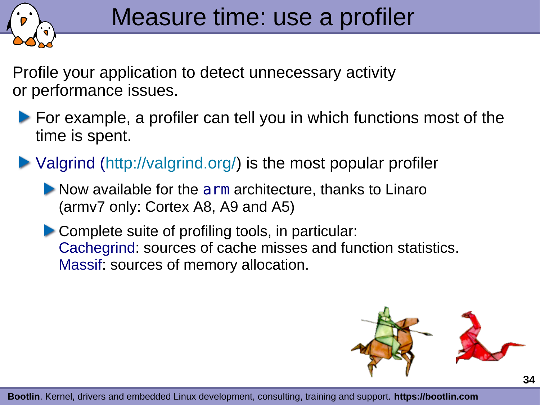

Profile your application to detect unnecessary activity or performance issues.

- **For example, a profiler can tell you in which functions most of the** time is spent.
- Valgrind ([http://valgrind.org/\)](http://valgrind.org/) is the most popular profiler
	- Now available for the arm architecture, thanks to Linaro (armv7 only: Cortex A8, A9 and A5)
	- Complete suite of profiling tools, in particular: Cachegrind: sources of cache misses and function statistics. Massif: sources of memory allocation.

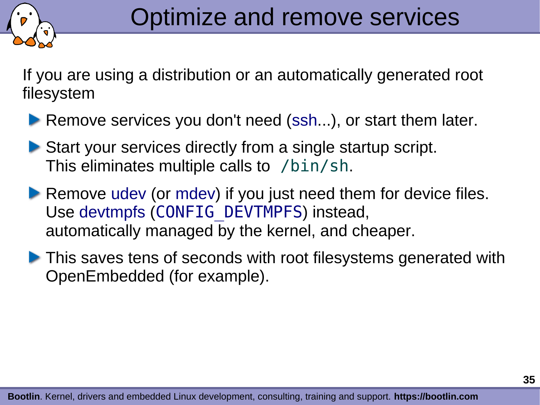

If you are using a distribution or an automatically generated root filesystem

- Remove services you don't need (ssh...), or start them later.
- ▶ Start your services directly from a single startup script. This eliminates multiple calls to /bin/sh.
- Remove udev (or mdev) if you just need them for device files. Use devtmpfs (CONFIG DEVTMPFS) instead, automatically managed by the kernel, and cheaper.
- **This saves tens of seconds with root filesystems generated with** OpenEmbedded (for example).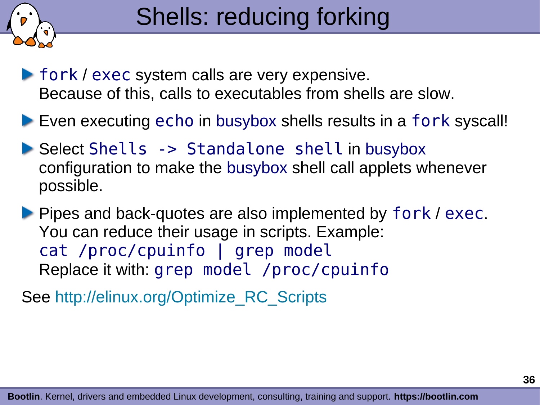

**Fork / exec system calls are very expensive.** Because of this, calls to executables from shells are slow.

Even executing echo in busybox shells results in a fork syscall!

▶ Select Shells -> Standalone shell in busybox configuration to make the busybox shell call applets whenever possible.

**Pipes and back-quotes are also implemented by fork / exec.** You can reduce their usage in scripts. Example: cat /proc/cpuinfo | grep model Replace it with: grep model /proc/cpuinfo

See [http://elinux.org/Optimize\\_RC\\_Scripts](http://elinux.org/Optimize_RC_Scripts)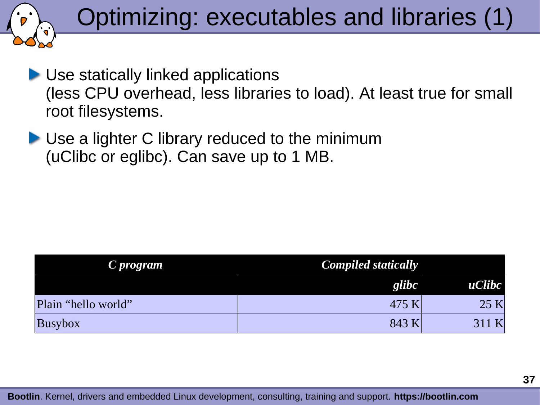

- **D** Use statically linked applications (less CPU overhead, less libraries to load). At least true for small root filesystems.
- **ID** Use a lighter C library reduced to the minimum (uClibc or eglibc). Can save up to 1 MB.

| C program           | <b>Compiled statically</b> |        |  |
|---------------------|----------------------------|--------|--|
|                     | glibc                      | uClibc |  |
| Plain "hello world" | 475 K                      | 25 K   |  |
| <b>Busybox</b>      | 843 K                      | 311 K  |  |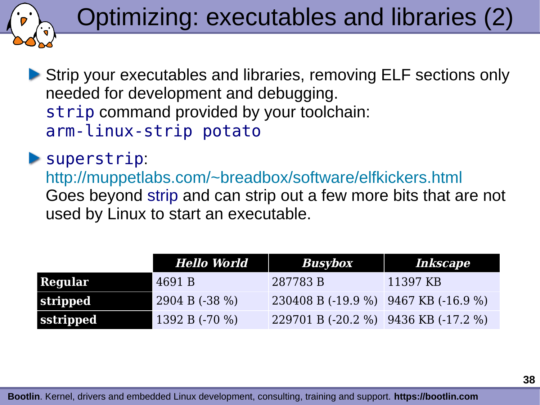

▶ Strip your executables and libraries, removing ELF sections only needed for development and debugging. strip command provided by your toolchain: arm-linux-strip potato

#### superstrip:

<http://muppetlabs.com/~breadbox/software/elfkickers.html> Goes beyond strip and can strip out a few more bits that are not used by Linux to start an executable.

|                  | Hello World       | <b>Busybox</b>                       | Inkscape |
|------------------|-------------------|--------------------------------------|----------|
| Regular          | 4691 B            | 287783 B                             | 11397 KB |
| stripped         | $2904 B (-38 \%)$ | 230408 B (-19.9 %) 9467 KB (-16.9 %) |          |
| <b>sstripped</b> | 1392 B $(-70\%)$  | 229701 B (-20.2 %) 9436 KB (-17.2 %) |          |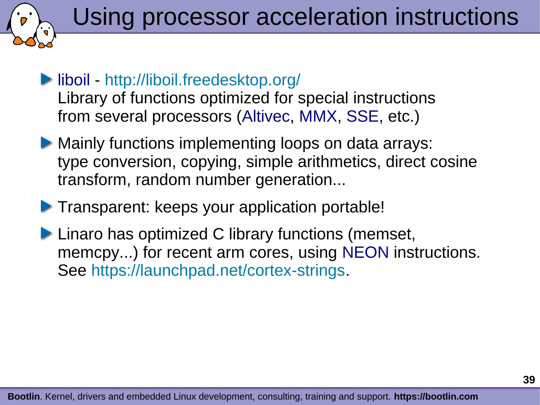Using processor acceleration instructions

- liboil <http://liboil.freedesktop.org/> Library of functions optimized for special instructions from several processors (Altivec, MMX, SSE, etc.)
- **Mainly functions implementing loops on data arrays:** type conversion, copying, simple arithmetics, direct cosine transform, random number generation...
- **Transparent: keeps your application portable!**
- **Linaro has optimized C library functions (memset,** memcpy...) for recent arm cores, using NEON instructions. See <https://launchpad.net/cortex-strings>.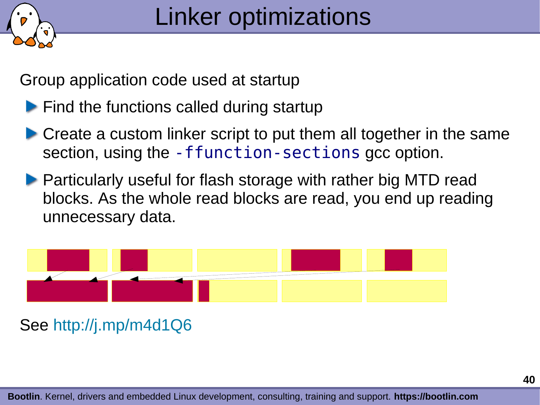

Group application code used at startup

- **Find the functions called during startup**
- ▶ Create a custom linker script to put them all together in the same section, using the -ffunction-sections gcc option.
- **Particularly useful for flash storage with rather big MTD read** blocks. As the whole read blocks are read, you end up reading unnecessary data.



#### See <http://j.mp/m4d1Q6>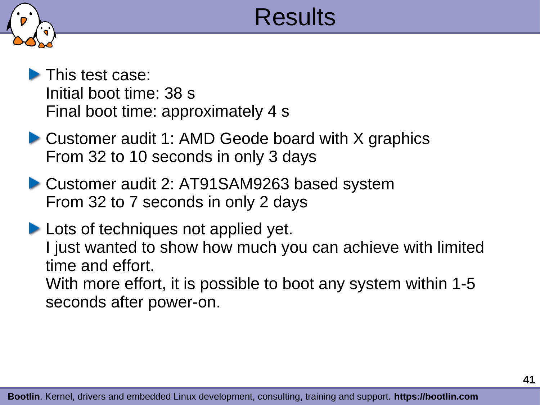

# Results

- This test case: Initial boot time: 38 s Final boot time: approximately 4 s
- ▶ Customer audit 1: AMD Geode board with X graphics From 32 to 10 seconds in only 3 days
- Customer audit 2: AT91SAM9263 based system From 32 to 7 seconds in only 2 days

**Lots of techniques not applied yet.** I just wanted to show how much you can achieve with limited time and effort. With more effort, it is possible to boot any system within 1-5 seconds after power-on.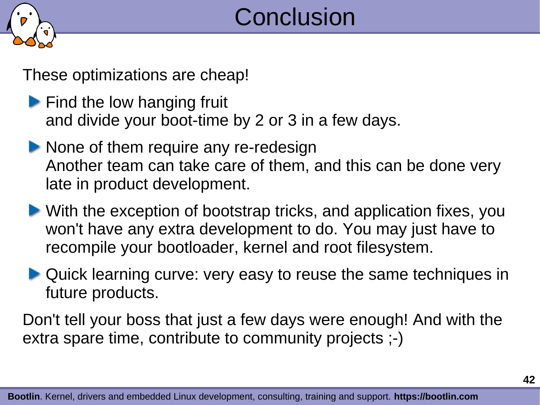

These optimizations are cheap!

- $\blacktriangleright$  Find the low hanging fruit and divide your boot-time by 2 or 3 in a few days.
- None of them require any re-redesign Another team can take care of them, and this can be done very late in product development.
- With the exception of bootstrap tricks, and application fixes, you won't have any extra development to do. You may just have to recompile your bootloader, kernel and root filesystem.
- ▶ Quick learning curve: very easy to reuse the same techniques in future products.

Don't tell your boss that just a few days were enough! And with the extra spare time, contribute to community projects ;-)